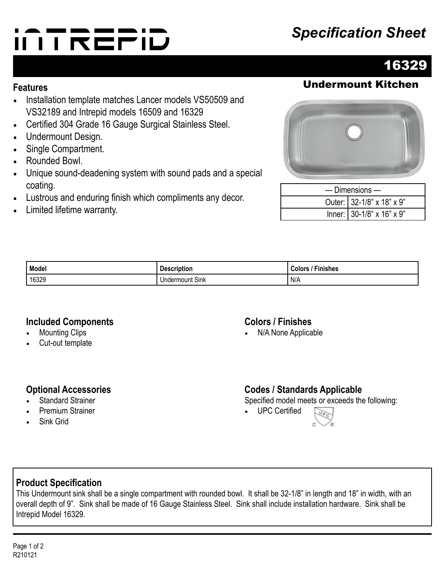# **Specification Sheet**<br> **INTREPID**



### **Features** Undermount Kitchen

- Installation template matches Lancer models VS50509 and VS32189 and Intrepid models 16509 and 16329
- Certified 304 Grade 16 Gauge Surgical Stainless Steel.
- Undermount Design.
- Single Compartment.
- Rounded Bowl.
- Unique sound-deadening system with sound pads and a special coating.
- Lustrous and enduring finish which compliments any decor.
- Limited lifetime warranty.



| --- Dimensions --- |                           |  |
|--------------------|---------------------------|--|
|                    | Outer: 32-1/8" x 18" x 9" |  |
|                    | Inner: 30-1/8" x 16" x 9" |  |

| Model | . .<br><b>Description</b> | --<br>-inishes<br>″ olorsہ ت |
|-------|---------------------------|------------------------------|
| 16329 | $\sim$<br>Undermount Sink | N/A                          |

#### **Included Components**

- **Mounting Clips**
- Cut-out template

#### **Colors / Finishes**

• N/A None Applicable

#### **Optional Accessories**

- **Standard Strainer**
- Premium Strainer
- Sink Grid

#### **Codes / Standards Applicable**

Specified model meets or exceeds the following:

• UPC Certified



#### **Product Specification**

This Undermount sink shall be a single compartment with rounded bowl. It shall be 32-1/8" in length and 18" in width, with an overall depth of 9". Sink shall be made of 16 Gauge Stainless Steel. Sink shall include installation hardware. Sink shall be Intrepid Model 16329.